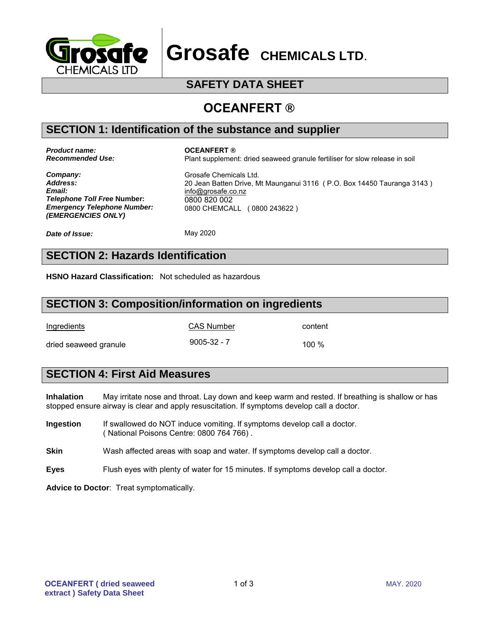

**Grosafe CHEMICALS LTD**.

# **SAFETY DATA SHEET**

# **OCEANFERT ®**

#### **SECTION 1: Identification of the substance and supplier**

*Product name: Recommended Use:*

#### **OCEANFERT ®**

Plant supplement: dried seaweed granule fertiliser for slow release in soil

*Company: Address: Email: Telephone Toll Free* **Number:** *Emergency Telephone Number: (EMERGENCIES ONLY)*

Grosafe Chemicals Ltd. 20 Jean Batten Drive, Mt Maunganui 3116 ( P.O. Box 14450 Tauranga 3143 ) info@g[rosafe.co.nz](http://www.ballance.co.nz/) 0800 820 002 0800 CHEMCALL ( 0800 243622 )

*Date of Issue:*

May 2020

# **SECTION 2: Hazards Identification**

**HSNO Hazard Classification:** Not scheduled as hazardous

#### **SECTION 3: Composition/information on ingredients**

Ingredients CAS Number content

dried seaweed granule 100 %

### **SECTION 4: First Aid Measures**

**Inhalation** May irritate nose and throat. Lay down and keep warm and rested. If breathing is shallow or has stopped ensure airway is clear and apply resuscitation. If symptoms develop call a doctor.

- **Ingestion** If swallowed do NOT induce vomiting. If symptoms develop call a doctor. ( National Poisons Centre: 0800 764 766) .
- **Skin** Wash affected areas with soap and water. If symptoms develop call a doctor.
- **Eyes** Flush eyes with plenty of water for 15 minutes. If symptoms develop call a doctor.

**Advice to Doctor**: Treat symptomatically.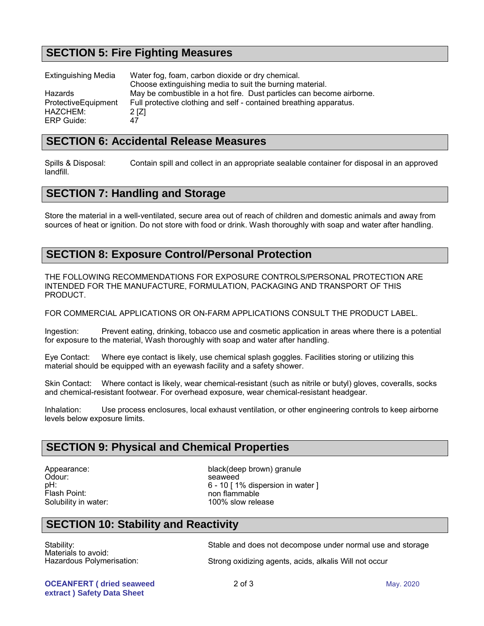# **SECTION 5: Fire Fighting Measures**

| <b>Extinguishing Media</b> | Water fog, foam, carbon dioxide or dry chemical.                      |
|----------------------------|-----------------------------------------------------------------------|
|                            | Choose extinguishing media to suit the burning material.              |
| Hazards                    | May be combustible in a hot fire. Dust particles can become airborne. |
| ProtectiveEquipment        | Full protective clothing and self - contained breathing apparatus.    |
| HAZCHEM:                   | 2 [Z]                                                                 |
| ERP Guide:                 | 47                                                                    |

#### **SECTION 6: Accidental Release Measures**

Spills & Disposal: Contain spill and collect in an appropriate sealable container for disposal in an approved landfill.

# **SECTION 7: Handling and Storage**

Store the material in a well-ventilated, secure area out of reach of children and domestic animals and away from sources of heat or ignition. Do not store with food or drink. Wash thoroughly with soap and water after handling.

#### **SECTION 8: Exposure Control/Personal Protection**

THE FOLLOWING RECOMMENDATIONS FOR EXPOSURE CONTROLS/PERSONAL PROTECTION ARE INTENDED FOR THE MANUFACTURE, FORMULATION, PACKAGING AND TRANSPORT OF THIS PRODUCT.

FOR COMMERCIAL APPLICATIONS OR ON-FARM APPLICATIONS CONSULT THE PRODUCT LABEL.

Ingestion: Prevent eating, drinking, tobacco use and cosmetic application in areas where there is a potential for exposure to the material, Wash thoroughly with soap and water after handling.

Eye Contact: Where eye contact is likely, use chemical splash goggles. Facilities storing or utilizing this material should be equipped with an eyewash facility and a safety shower.

Skin Contact: Where contact is likely, wear chemical-resistant (such as nitrile or butyl) gloves, coveralls, socks and chemical-resistant footwear. For overhead exposure, wear chemical-resistant headgear.

Inhalation: Use process enclosures, local exhaust ventilation, or other engineering controls to keep airborne levels below exposure limits.

#### **SECTION 9: Physical and Chemical Properties**

Appearance: Odour: pH: Flash Point: Solubility in water: black(deep brown) granule seaweed 6 - 10 [ 1% dispersion in water ] non flammable 100% slow release

### **SECTION 10: Stability and Reactivity**

Stability: Materials to avoid: Hazardous Polymerisation: Stable and does not decompose under normal use and storage

Strong oxidizing agents, acids, alkalis Will not occur

**OCEANFERT ( dried seaweed extract ) Safety Data Sheet**